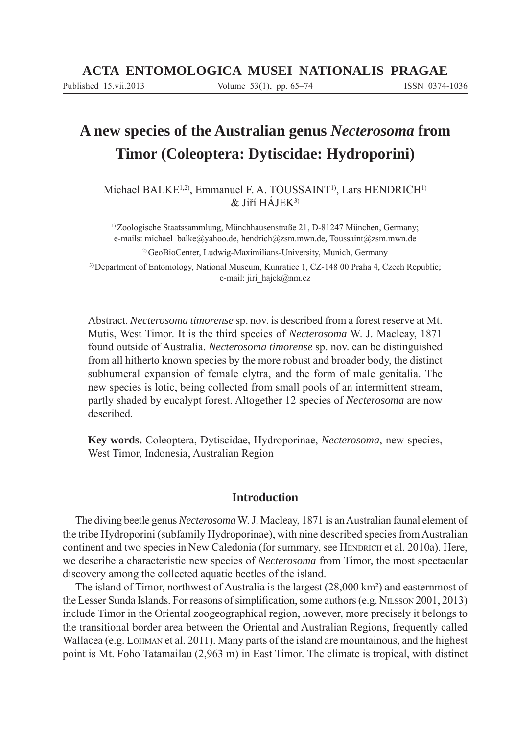# **A new species of the Australian genus** *Necterosoma* **from Timor (Coleoptera: Dytiscidae: Hydroporini)**

Michael BALKE<sup>1,2)</sup>, Emmanuel F. A. TOUSSAINT<sup>1)</sup>, Lars HENDRICH<sup>1)</sup>  $&$  Jiří HÁJEK<sup>3)</sup>

1) Zoologische Staatssammlung, Münchhausenstraße 21, D-81247 München, Germany; e-mails: michael\_balke@yahoo.de, hendrich@zsm.mwn.de*,* Toussaint@zsm.mwn.de

2) GeoBioCenter, Ludwig-Maximilians-University, Munich, Germany

3) Department of Entomology, National Museum, Kunratice 1, CZ-148 00 Praha 4, Czech Republic; e-mail: jiri\_hajek@nm.cz

Abstract. *Necterosoma timorense* sp. nov. is described from a forest reserve at Mt. Mutis, West Timor. It is the third species of *Necterosoma* W. J. Macleay, 1871 found outside of Australia. *Necterosoma timorense* sp. nov. can be distinguished from all hitherto known species by the more robust and broader body, the distinct subhumeral expansion of female elytra, and the form of male genitalia. The new species is lotic, being collected from small pools of an intermittent stream, partly shaded by eucalypt forest. Altogether 12 species of *Necterosoma* are now described.

**Key words.** Coleoptera, Dytiscidae, Hydroporinae, *Necterosoma*, new species, West Timor, Indonesia, Australian Region

## **Introduction**

The diving beetle genus *Necterosoma* W. J. Macleay, 1871 is an Australian faunal element of the tribe Hydroporini (subfamily Hydroporinae), with nine described species from Australian continent and two species in New Caledonia (for summary, see HENDRICH et al. 2010a). Here, we describe a characteristic new species of *Necterosoma* from Timor, the most spectacular discovery among the collected aquatic beetles of the island.

The island of Timor, northwest of Australia is the largest (28,000 km²) and easternmost of the Lesser Sunda Islands. For reasons of simplification, some authors (e.g. NILSSON 2001, 2013) include Timor in the Oriental zoogeographical region, however, more precisely it belongs to the transitional border area between the Oriental and Australian Regions, frequently called Wallacea (e.g. LOHMAN et al. 2011). Many parts of the island are mountainous, and the highest point is Mt. Foho Tatamailau (2,963 m) in East Timor. The climate is tropical, with distinct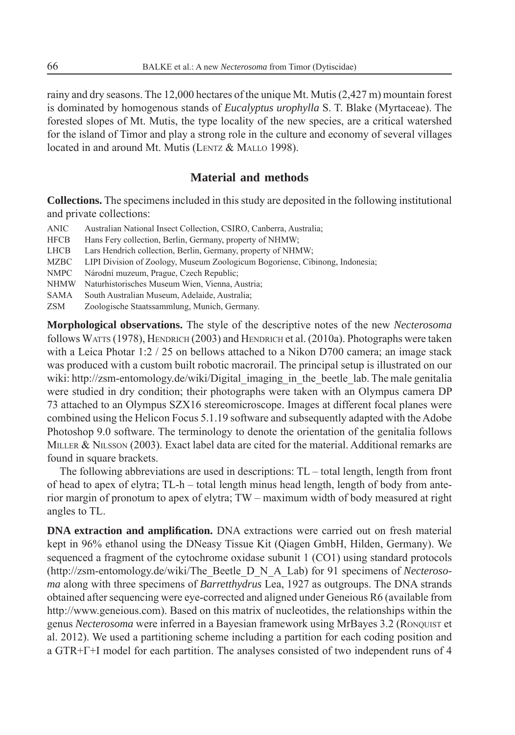rainy and dry seasons. The 12,000 hectares of the unique Mt. Mutis (2,427 m) mountain forest is dominated by homogenous stands of *Eucalyptus urophylla* S. T. Blake (Myrtaceae). The forested slopes of Mt. Mutis, the type locality of the new species, are a critical watershed for the island of Timor and play a strong role in the culture and economy of several villages located in and around Mt. Mutis (LENTZ & MALLO 1998).

## **Material and methods**

**Collections.** The specimens included in this study are deposited in the following institutional and private collections:

- ANIC Australian National Insect Collection, CSIRO, Canberra, Australia;
- HFCB Hans Fery collection, Berlin, Germany, property of NHMW;
- LHCB Lars Hendrich collection, Berlin, Germany, property of NHMW;
- MZBC LIPI Division of Zoology, Museum Zoologicum Bogoriense, Cibinong, Indonesia;
- NMPC Národní muzeum, Prague, Czech Republic;
- NHMW Naturhistorisches Museum Wien, Vienna, Austria;
- SAMA South Australian Museum, Adelaide, Australia;
- ZSM Zoologische Staatssammlung, Munich, Germany.

**Morphological observations.** The style of the descriptive notes of the new *Necterosoma* follows WATTS (1978), HENDRICH (2003) and HENDRICH et al. (2010a). Photographs were taken with a Leica Photar 1:2 / 25 on bellows attached to a Nikon D700 camera; an image stack was produced with a custom built robotic macrorail. The principal setup is illustrated on our wiki: http://zsm-entomology.de/wiki/Digital\_imaging\_in\_the\_beetle\_lab. The male genitalia were studied in dry condition; their photographs were taken with an Olympus camera DP 73 attached to an Olympus SZX16 stereomicroscope. Images at different focal planes were combined using the Helicon Focus 5.1.19 software and subsequently adapted with the Adobe Photoshop 9.0 software. The terminology to denote the orientation of the genitalia follows MILLER & NILSSON (2003). Exact label data are cited for the material. Additional remarks are found in square brackets.

The following abbreviations are used in descriptions: TL – total length, length from front of head to apex of elytra; TL-h – total length minus head length, length of body from anterior margin of pronotum to apex of elytra; TW – maximum width of body measured at right angles to TL.

**DNA extraction and amplification.** DNA extractions were carried out on fresh material kept in 96% ethanol using the DNeasy Tissue Kit (Qiagen GmbH, Hilden, Germany). We sequenced a fragment of the cytochrome oxidase subunit 1 (CO1) using standard protocols (http://zsm-entomology.de/wiki/The\_Beetle\_D\_N\_A\_Lab) for 91 specimens of *Necterosoma* along with three specimens of *Barretthydrus* Lea, 1927 as outgroups. The DNA strands obtained after sequencing were eye-corrected and aligned under Geneious R6 (available from http://www.geneious.com). Based on this matrix of nucleotides, the relationships within the genus *Necterosoma* were inferred in a Bayesian framework using MrBayes 3.2 (RONQUIST et al. 2012). We used a partitioning scheme including a partition for each coding position and a GTR+Γ+I model for each partition. The analyses consisted of two independent runs of 4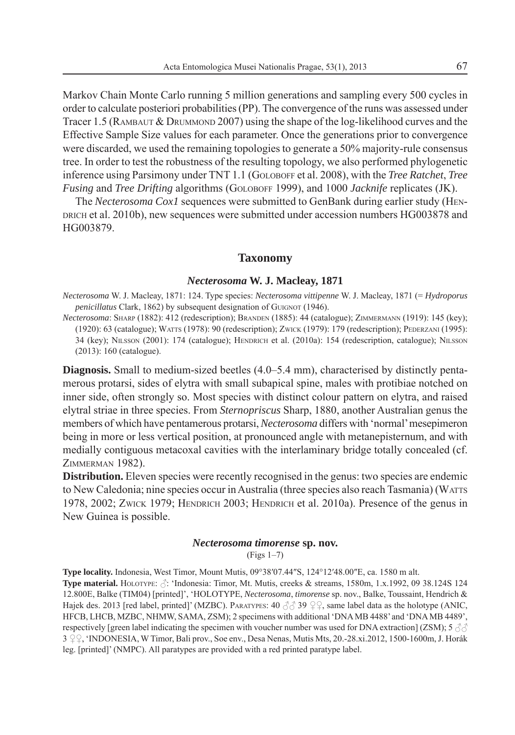Markov Chain Monte Carlo running 5 million generations and sampling every 500 cycles in order to calculate posteriori probabilities (PP). The convergence of the runs was assessed under Tracer 1.5 (RAMBAUT & DRUMMOND 2007) using the shape of the log-likelihood curves and the Effective Sample Size values for each parameter. Once the generations prior to convergence were discarded, we used the remaining topologies to generate a 50% majority-rule consensus tree. In order to test the robustness of the resulting topology, we also performed phylogenetic inference using Parsimony under TNT 1.1 (GOLOBOFF et al. 2008), with the *Tree Ratchet*, *Tree Fusing* and *Tree Drifting* algorithms (GOLOBOFF 1999), and 1000 *Jacknife* replicates (JK).

The *Necterosoma Cox1* sequences were submitted to GenBank during earlier study (HEN-DRICH et al. 2010b), new sequences were submitted under accession numbers HG003878 and HG003879.

#### **Taxonomy**

#### *Necterosoma* **W. J. Macleay, 1871**

*Necterosoma* W. J. Macleay, 1871: 124. Type species: *Necterosoma vittipenne* W. J. Macleay, 1871 (= *Hydroporus penicillatus* Clark, 1862) by subsequent designation of GUIGNOT (1946).

*Necterosoma*: SHARP (1882): 412 (redescription); BRANDEN (1885): 44 (catalogue); ZIMMERMANN (1919): 145 (key); (1920): 63 (catalogue); WATTS (1978): 90 (redescription); ZWICK (1979): 179 (redescription); PEDERZANI (1995): 34 (key); NILSSON (2001): 174 (catalogue); HENDRICH et al. (2010a): 154 (redescription, catalogue); NILSSON (2013): 160 (catalogue).

**Diagnosis.** Small to medium-sized beetles (4.0–5.4 mm), characterised by distinctly pentamerous protarsi, sides of elytra with small subapical spine, males with protibiae notched on inner side, often strongly so. Most species with distinct colour pattern on elytra, and raised elytral striae in three species. From *Sternopriscus* Sharp, 1880, another Australian genus the members of which have pentamerous protarsi, *Necterosoma* differs with 'normal' mesepimeron being in more or less vertical position, at pronounced angle with metanepisternum, and with medially contiguous metacoxal cavities with the interlaminary bridge totally concealed (cf. ZIMMERMAN 1982).

**Distribution.** Eleven species were recently recognised in the genus: two species are endemic to New Caledonia; nine species occur in Australia (three species also reach Tasmania) (WATTS 1978, 2002; ZWICK 1979; HENDRICH 2003; HENDRICH et al. 2010a). Presence of the genus in New Guinea is possible.

#### *Necterosoma timorense* **sp. nov.**

(Figs 1–7)

**Type locality.** Indonesia, West Timor, Mount Mutis, 09°38′07.44″S, 124°12′48.00″E, ca. 1580 m alt. **Type material.** HOLOTYPE:  $\beta$ : 'Indonesia: Timor, Mt. Mutis, creeks & streams, 1580m, 1.x.1992, 09 38.124S 124 12.800E, Balke (TIM04) [printed]', 'HOLOTYPE, *Necterosoma*, *timorense* sp. nov., Balke, Toussaint, Hendrich & Hajek des. 2013 [red label, printed]' (MZBC). PARATYPES:  $40\degree\%$  39  $\degree\%$ , same label data as the holotype (ANIC, HFCB, LHCB, MZBC, NHMW, SAMA, ZSM); 2 specimens with additional 'DNA MB 4488' and 'DNA MB 4489', respectively [green label indicating the specimen with voucher number was used for DNA extraction] (ZSM); 5  $\partial \partial$  $3 \text{ }^{\circ}$  ('INDONESIA, W Timor, Bali prov., Soe env., Desa Nenas, Mutis Mts, 20.-28.xi.2012, 1500-1600m, J. Horák leg. [printed]' (NMPC). All paratypes are provided with a red printed paratype label.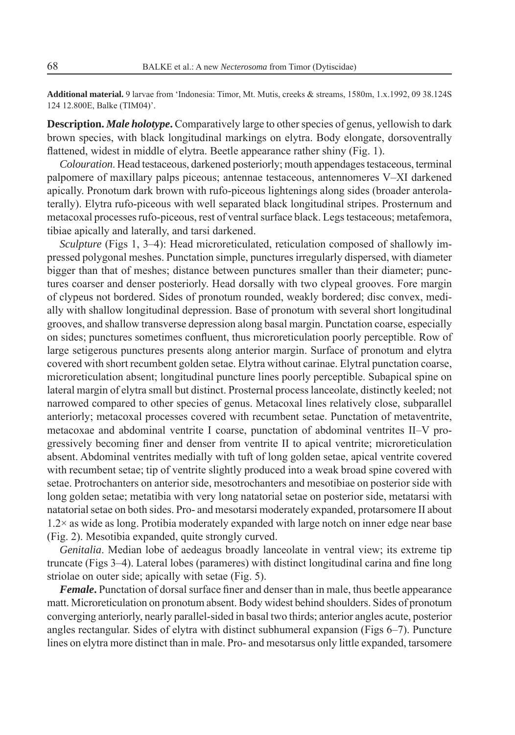**Additional material.** 9 larvae from 'Indonesia: Timor, Mt. Mutis, creeks & streams, 1580m, 1.x.1992, 09 38.124S 124 12.800E, Balke (TIM04)'.

**Description.** *Male holotype***.** Comparatively large to other species of genus, yellowish to dark brown species, with black longitudinal markings on elytra. Body elongate, dorsoventrally flattened, widest in middle of elytra. Beetle appearance rather shiny (Fig. 1).

*Colouration*. Head testaceous, darkened posteriorly; mouth appendages testaceous, terminal palpomere of maxillary palps piceous; antennae testaceous, antennomeres V–XI darkened apically. Pronotum dark brown with rufo-piceous lightenings along sides (broader anterolaterally). Elytra rufo-piceous with well separated black longitudinal stripes. Prosternum and metacoxal processes rufo-piceous, rest of ventral surface black. Legs testaceous; metafemora, tibiae apically and laterally, and tarsi darkened.

*Sculpture* (Figs 1, 3–4): Head microreticulated, reticulation composed of shallowly impressed polygonal meshes. Punctation simple, punctures irregularly dispersed, with diameter bigger than that of meshes; distance between punctures smaller than their diameter; punctures coarser and denser posteriorly. Head dorsally with two clypeal grooves. Fore margin of clypeus not bordered. Sides of pronotum rounded, weakly bordered; disc convex, medially with shallow longitudinal depression. Base of pronotum with several short longitudinal grooves, and shallow transverse depression along basal margin. Punctation coarse, especially on sides; punctures sometimes confluent, thus microreticulation poorly perceptible. Row of large setigerous punctures presents along anterior margin. Surface of pronotum and elytra covered with short recumbent golden setae. Elytra without carinae. Elytral punctation coarse, microreticulation absent; longitudinal puncture lines poorly perceptible. Subapical spine on lateral margin of elytra small but distinct. Prosternal process lanceolate, distinctly keeled; not narrowed compared to other species of genus. Metacoxal lines relatively close, subparallel anteriorly; metacoxal processes covered with recumbent setae. Punctation of metaventrite, metacoxae and abdominal ventrite I coarse, punctation of abdominal ventrites II–V progressively becoming finer and denser from ventrite II to apical ventrite; microreticulation absent. Abdominal ventrites medially with tuft of long golden setae, apical ventrite covered with recumbent setae; tip of ventrite slightly produced into a weak broad spine covered with setae. Protrochanters on anterior side, mesotrochanters and mesotibiae on posterior side with long golden setae; metatibia with very long natatorial setae on posterior side, metatarsi with natatorial setae on both sides. Pro- and mesotarsi moderately expanded, protarsomere II about 1.2× as wide as long. Protibia moderately expanded with large notch on inner edge near base (Fig. 2). Mesotibia expanded, quite strongly curved.

*Genitalia*. Median lobe of aedeagus broadly lanceolate in ventral view; its extreme tip truncate (Figs 3–4). Lateral lobes (parameres) with distinct longitudinal carina and fine long striolae on outer side; apically with setae (Fig. 5).

*Female*. Punctation of dorsal surface finer and denser than in male, thus beetle appearance matt. Microreticulation on pronotum absent. Body widest behind shoulders. Sides of pronotum converging anteriorly, nearly parallel-sided in basal two thirds; anterior angles acute, posterior angles rectangular. Sides of elytra with distinct subhumeral expansion (Figs 6–7). Puncture lines on elytra more distinct than in male. Pro- and mesotarsus only little expanded, tarsomere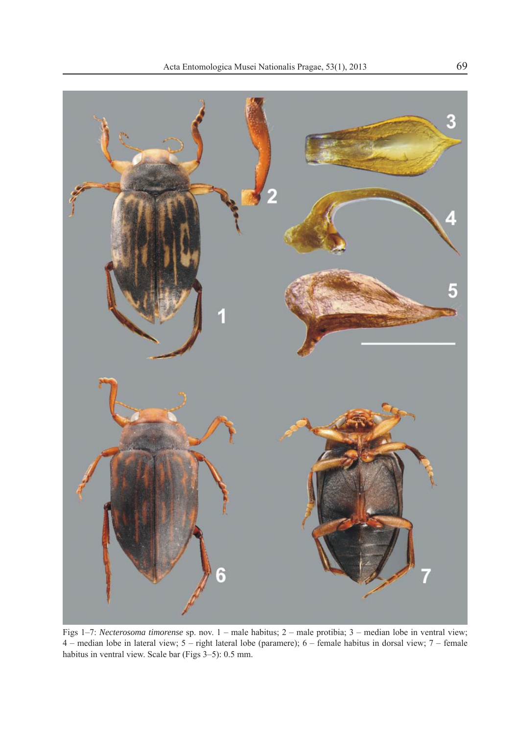

Figs 1–7: *Necterosoma timorense* sp. nov. 1 – male habitus; 2 – male protibia; 3 – median lobe in ventral view; 4 – median lobe in lateral view; 5 – right lateral lobe (paramere); 6 – female habitus in dorsal view; 7 – female habitus in ventral view. Scale bar (Figs 3–5): 0.5 mm.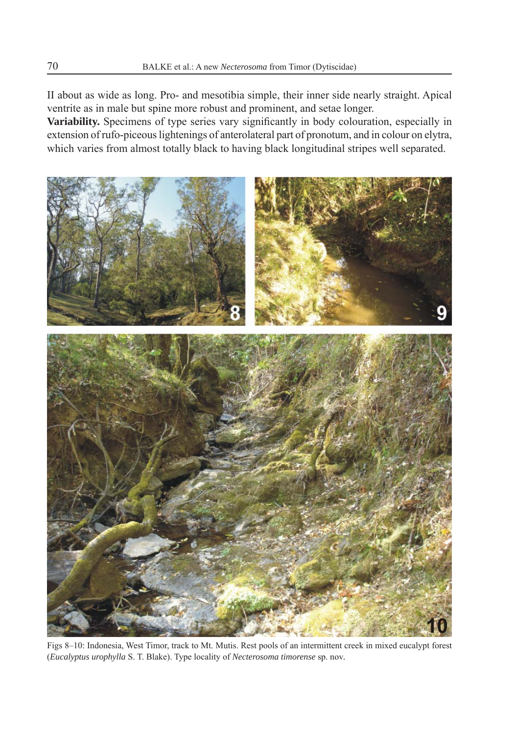II about as wide as long. Pro- and mesotibia simple, their inner side nearly straight. Apical ventrite as in male but spine more robust and prominent, and setae longer.

Variability. Specimens of type series vary significantly in body colouration, especially in extension of rufo-piceous lightenings of anterolateral part of pronotum, and in colour on elytra, which varies from almost totally black to having black longitudinal stripes well separated.



Figs 8–10: Indonesia, West Timor, track to Mt. Mutis. Rest pools of an intermittent creek in mixed eucalypt forest (*Eucalyptus urophylla* S. T. Blake). Type locality of *Necterosoma timorense* sp. nov*.*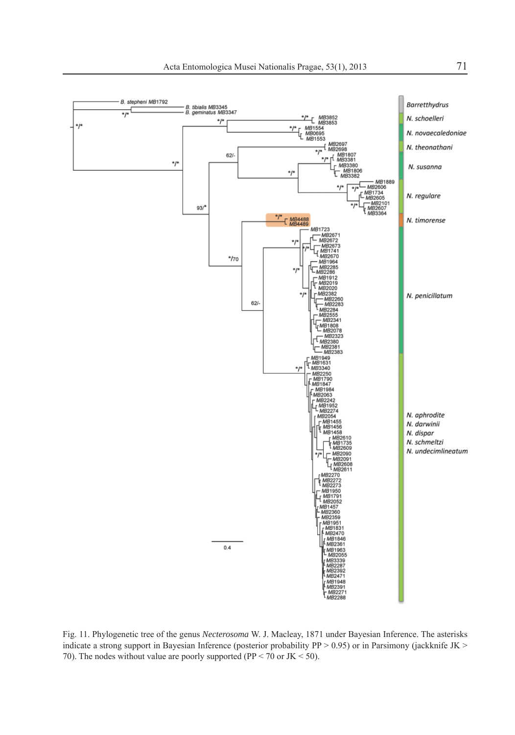

Fig. 11. Phylogenetic tree of the genus *Necterosoma* W. J. Macleay, 1871 under Bayesian Inference. The asterisks indicate a strong support in Bayesian Inference (posterior probability PP > 0.95) or in Parsimony (jackknife JK > 70). The nodes without value are poorly supported (PP < 70 or JK < 50).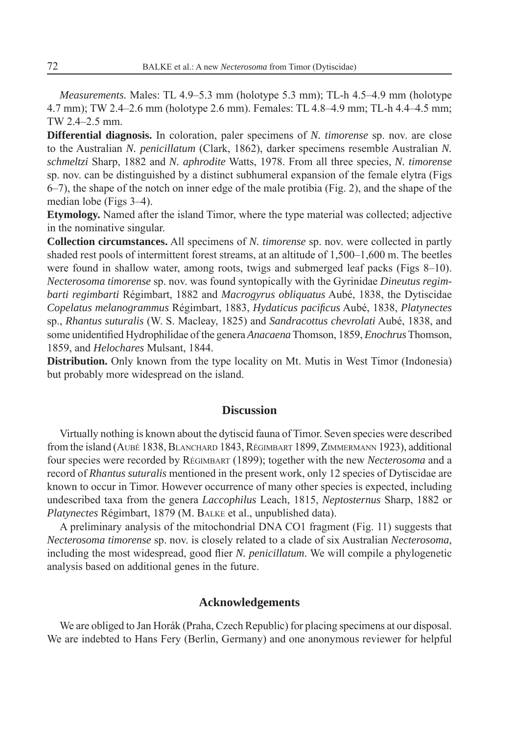*Measurements.* Males: TL 4.9–5.3 mm (holotype 5.3 mm); TL-h 4.5–4.9 mm (holotype 4.7 mm); TW 2.4–2.6 mm (holotype 2.6 mm). Females: TL 4.8–4.9 mm; TL-h 4.4–4.5 mm; TW 2.4–2.5 mm.

**Differential diagnosis.** In coloration, paler specimens of *N. timorense* sp. nov. are close to the Australian *N. penicillatum* (Clark, 1862), darker specimens resemble Australian *N. schmeltzi* Sharp, 1882 and *N. aphrodite* Watts, 1978. From all three species, *N. timorense* sp. nov. can be distinguished by a distinct subhumeral expansion of the female elytra (Figs 6–7), the shape of the notch on inner edge of the male protibia (Fig. 2), and the shape of the median lobe (Figs 3–4).

**Etymology.** Named after the island Timor, where the type material was collected; adjective in the nominative singular.

**Collection circumstances.** All specimens of *N. timorense* sp. nov. were collected in partly shaded rest pools of intermittent forest streams, at an altitude of 1,500–1,600 m. The beetles were found in shallow water, among roots, twigs and submerged leaf packs (Figs 8–10). *Necterosoma timorense* sp. nov. was found syntopically with the Gyrinidae *Dineutus regimbarti regimbarti* Régimbart, 1882 and *Macrogyrus obliquatus* Aubé, 1838, the Dytiscidae *Copelatus melanogrammus* Régimbart, 1883, *Hydaticus pacifi cus* Aubé, 1838, *Platynectes* sp., *Rhantus suturalis* (W. S. Macleay, 1825) and *Sandracottus chevrolati* Aubé, 1838, and some unidentified Hydrophilidae of the genera *Anacaena* Thomson, 1859, *Enochrus* Thomson, 1859, and *Helochares* Mulsant, 1844.

**Distribution.** Only known from the type locality on Mt. Mutis in West Timor (Indonesia) but probably more widespread on the island.

### **Discussion**

Virtually nothing is known about the dytiscid fauna of Timor. Seven species were described from the island (AUBÉ 1838, BLANCHARD 1843, RÉGIMBART 1899, ZIMMERMANN 1923), additional four species were recorded by RÉGIMBART (1899); together with the new *Necterosoma* and a record of *Rhantus suturalis* mentioned in the present work, only 12 species of Dytiscidae are known to occur in Timor. However occurrence of many other species is expected, including undescribed taxa from the genera *Laccophilus* Leach, 1815, *Neptosternus* Sharp, 1882 or *Platynectes* Régimbart, 1879 (M. BALKE et al., unpublished data).

A preliminary analysis of the mitochondrial DNA CO1 fragment (Fig. 11) suggests that *Necterosoma timorense* sp. nov. is closely related to a clade of six Australian *Necterosoma*, including the most widespread, good flier *N. penicillatum*. We will compile a phylogenetic analysis based on additional genes in the future.

#### **Acknowledgements**

We are obliged to Jan Horák (Praha, Czech Republic) for placing specimens at our disposal. We are indebted to Hans Fery (Berlin, Germany) and one anonymous reviewer for helpful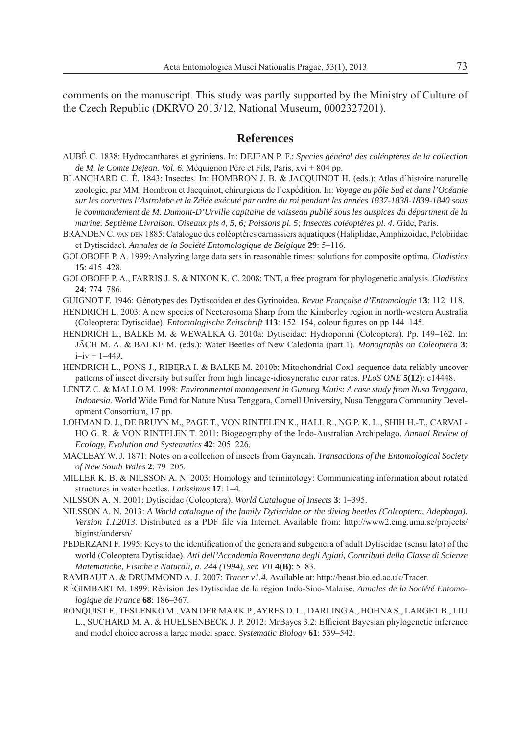comments on the manuscript. This study was partly supported by the Ministry of Culture of the Czech Republic (DKRVO 2013/12, National Museum, 0002327201).

## **References**

- AUBÉ C. 1838: Hydrocanthares et gyriniens. In: DEJEAN P. F.: *Species général des coléoptères de la collection de M. le Comte Dejean. Vol. 6.* Méquignon Père et Fils, Paris, xvi + 804 pp.
- BLANCHARD C. É. 1843: Insectes. In: HOMBRON J. B. & JACQUINOT H. (eds.): Atlas d'histoire naturelle zoologie, par MM. Hombron et Jacquinot, chirurgiens de l'expédition. In: *Voyage au pôle Sud et dans l'Océanie sur les corvettes l'Astrolabe et la Zélée exécuté par ordre du roi pendant les années 1837-1838-1839-1840 sous le commandement de M. Dumont-D'Urville capitaine de vaisseau publié sous les auspices du départment de la marine. Septième Livraison. Oiseaux pls 4, 5, 6; Poissons pl. 5; Insectes coléoptères pl. 4.* Gide, Paris.
- BRANDEN C. VAN DEN 1885: Catalogue des coléoptères carnassiers aquatiques (Haliplidae, Amphizoidae, Pelobiidae et Dytiscidae). *Annales de la Société Entomologique de Belgique* **29**: 5–116.
- GOLOBOFF P. A. 1999: Analyzing large data sets in reasonable times: solutions for composite optima. *Cladistics* **15**: 415–428.
- GOLOBOFF P. A., FARRIS J. S. & NIXON K. C. 2008: TNT, a free program for phylogenetic analysis. *Cladistics* **24**: 774–786.
- GUIGNOT F. 1946: Génotypes des Dytiscoidea et des Gyrinoidea. *Revue Française d'Entomologie* **13**: 112–118.
- HENDRICH L. 2003: A new species of Necterosoma Sharp from the Kimberley region in north-western Australia (Coleoptera: Dytiscidae). *Entomologische Zeitschrift* **113**: 152–154, colour figures on pp 144–145.
- HENDRICH L., BALKE M. & WEWALKA G. 2010a: Dytiscidae: Hydroporini (Coleoptera). Pp. 149–162. In: JÄCH M. A. & BALKE M. (eds.): Water Beetles of New Caledonia (part 1). *Monographs on Coleoptera* **3**:  $i - iv + 1 - 449$ .
- HENDRICH L., PONS J., RIBERA I. & BALKE M. 2010b: Mitochondrial Cox1 sequence data reliably uncover patterns of insect diversity but suffer from high lineage-idiosyncratic error rates. *PLoS ONE* **5(12)**: e14448.
- LENTZ C. & MALLO M. 1998: *Environmental management in Gunung Mutis: A case study from Nusa Tenggara, Indonesia.* World Wide Fund for Nature Nusa Tenggara, Cornell University, Nusa Tenggara Community Development Consortium, 17 pp.
- LOHMAN D. J., DE BRUYN M., PAGE T., VON RINTELEN K., HALL R., NG P. K. L., SHIH H.-T., CARVAL-HO G. R. & VON RINTELEN T. 2011: Biogeography of the Indo-Australian Archipelago. *Annual Review of Ecology, Evolution and Systematics* **42**: 205–226.
- MACLEAY W. J. 1871: Notes on a collection of insects from Gayndah. *Transactions of the Entomological Society of New South Wales* **2**: 79–205.
- MILLER K. B. & NILSSON A. N. 2003: Homology and terminology: Communicating information about rotated structures in water beetles. *Latissimus* **17**: 1–4.
- NILSSON A. N. 2001: Dytiscidae (Coleoptera). *World Catalogue of Insects* **3**: 1–395.
- NILSSON A. N. 2013: *A World catalogue of the family Dytiscidae or the diving beetles (Coleoptera, Adephaga). Version 1.I.2013.* Distributed as a PDF file via Internet. Available from: http://www2.emg.umu.se/projects/ biginst/andersn/
- PEDERZANI F. 1995: Keys to the identification of the genera and subgenera of adult Dytiscidae (sensu lato) of the world (Coleoptera Dytiscidae). *Atti dell'Accademia Roveretana degli Agiati, Contributi della Classe di Scienze Matematiche, Fisiche e Naturali, a. 244 (1994), ser. VII* **4(B)**: 5–83.
- RAMBAUT A. & DRUMMOND A. J. 2007: *Tracer v1.4.* Available at: http://beast.bio.ed.ac.uk/Tracer.
- RÉGIMBART M. 1899: Révision des Dytiscidae de la région Indo-Sino-Malaise. *Annales de la Société Entomologique de France* **68**: 186–367.
- RONQUIST F., TESLENKO M., VAN DER MARK P., AYRES D. L., DARLING A., HOHNA S., LARGET B., LIU L., SUCHARD M. A. & HUELSENBECK J. P. 2012: MrBayes 3.2: Efficient Bayesian phylogenetic inference and model choice across a large model space. *Systematic Biology* **61**: 539–542.